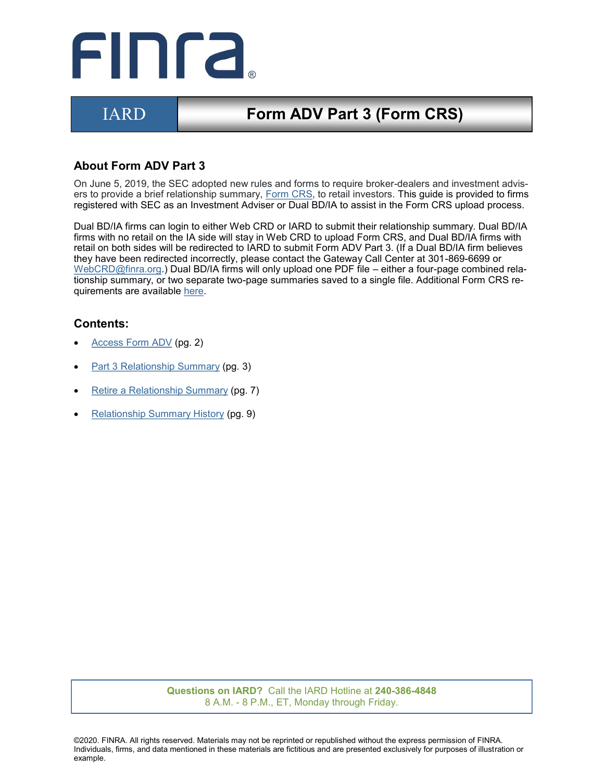

# IARD **Form ADV Part 3 (Form CRS)**

## **About Form ADV Part 3**

On June 5, 2019, the SEC adopted new rules and forms to require broker-dealers and investment advisers to provide a brief relationship summary, [Form CRS,](https://www.sec.gov/about/forms/formadv-part3.pdf) to retail investors. This guide is provided to firms registered with SEC as an Investment Adviser or Dual BD/IA to assist in the Form CRS upload process.

Dual BD/IA firms can login to either Web CRD or IARD to submit their relationship summary. Dual BD/IA firms with no retail on the IA side will stay in Web CRD to upload Form CRS, and Dual BD/IA firms with retail on both sides will be redirected to IARD to submit Form ADV Part 3. (If a Dual BD/IA firm believes they have been redirected incorrectly, please contact the Gateway Call Center at 301-869-6699 or [WebCRD@finra.org.\)](mailto:WebCRD@finra.org) Dual BD/IA firms will only upload one PDF file – either a four-page combined relationship summary, or two separate two-page summaries saved to a single file. Additional Form CRS requirements are available [here.](https://www.sec.gov/about/forms/formadv-part3.pdf)

#### **Contents:**

- [Access Form ADV](#page-1-0) (pg. 2)
- [Part 3 Relationship Summary](#page-2-0) (pg. 3)
- [Retire a Relationship Summary](#page-6-0) (pg. 7)
- [Relationship Summary History](#page-8-0) (pg. 9)

**Questions on IARD?** Call the IARD Hotline at **240-386-4848** 8 A.M. - 8 P.M., ET, Monday through Friday.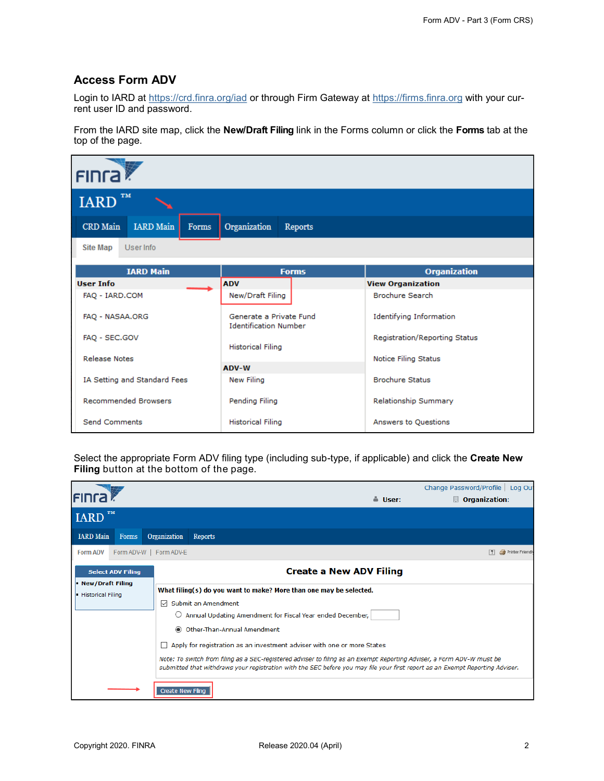#### <span id="page-1-0"></span>**Access Form ADV**

Login to IARD at <https://crd.finra.org/iad> or through Firm Gateway at <https://firms.finra.org> with your current user ID and password.

From the IARD site map, click the **New/Draft Filing** link in the Forms column or click the **Forms** tab at the top of the page.

| <b>FINTA</b>                                 |                                                         |                                |
|----------------------------------------------|---------------------------------------------------------|--------------------------------|
| <b>TM</b><br><b>IARD</b>                     |                                                         |                                |
| <b>IARD</b> Main<br><b>CRD</b> Main<br>Forms | Organization<br><b>Reports</b>                          |                                |
| User Info<br><b>Site Map</b>                 |                                                         |                                |
| <b>IARD Main</b>                             | <b>Forms</b>                                            | <b>Organization</b>            |
| <b>User Info</b>                             | <b>ADV</b>                                              | <b>View Organization</b>       |
| FAQ - IARD.COM                               | New/Draft Filing                                        | <b>Brochure Search</b>         |
| FAO - NASAA.ORG                              | Generate a Private Fund<br><b>Identification Number</b> | <b>Identifying Information</b> |
| FAO - SEC.GOV                                |                                                         | Registration/Reporting Status  |
|                                              | <b>Historical Filing</b>                                |                                |
| <b>Release Notes</b>                         | ADV-W                                                   | Notice Filing Status           |
| IA Setting and Standard Fees                 | New Filing                                              | <b>Brochure Status</b>         |
| <b>Recommended Browsers</b>                  | Pending Filing                                          | Relationship Summary           |
| <b>Send Comments</b>                         | <b>Historical Filing</b>                                | Answers to Questions           |

Select the appropriate Form ADV filing type (including sub-type, if applicable) and click the **Create New Filing** button at the bottom of the page.

| <b>FING</b>                                  |                          |                          |                                                                                                                                                                                                                                                                                                                                                                                                                                                                                                                               | å User:                        | Change Password/Profile<br>Log Out<br>Organization: |
|----------------------------------------------|--------------------------|--------------------------|-------------------------------------------------------------------------------------------------------------------------------------------------------------------------------------------------------------------------------------------------------------------------------------------------------------------------------------------------------------------------------------------------------------------------------------------------------------------------------------------------------------------------------|--------------------------------|-----------------------------------------------------|
| <b>TM</b><br><b>IARD</b>                     |                          |                          |                                                                                                                                                                                                                                                                                                                                                                                                                                                                                                                               |                                |                                                     |
| <b>IARD</b> Main                             | Forms                    | Organization             | <b>Reports</b>                                                                                                                                                                                                                                                                                                                                                                                                                                                                                                                |                                |                                                     |
| <b>Form ADV</b>                              |                          | Form ADV-W   Form ADV-E  |                                                                                                                                                                                                                                                                                                                                                                                                                                                                                                                               |                                | Printer Friendly<br> 7                              |
| New/Draft Filing<br><b>Historical Filing</b> | <b>Select ADV Filing</b> | $\checkmark$             | What filing(s) do you want to make? More than one may be selected.<br>Submit an Amendment<br>Annual Updating Amendment for Fiscal Year ended December,<br>© Other-Than-Annual Amendment<br>Apply for registration as an investment adviser with one or more States<br>Note: To switch from filing as a SEC-registered adviser to filing as an Exempt Reporting Adviser, a Form ADV-W must be<br>submitted that withdraws your registration with the SEC before you may file your first report as an Exempt Reporting Adviser. | <b>Create a New ADV Filing</b> |                                                     |
|                                              |                          | <b>Create New Filing</b> |                                                                                                                                                                                                                                                                                                                                                                                                                                                                                                                               |                                |                                                     |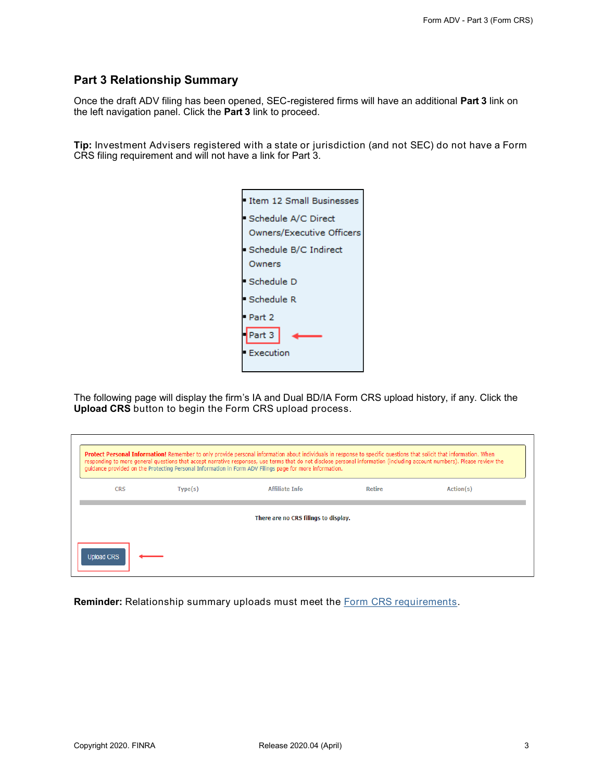#### <span id="page-2-0"></span>**Part 3 Relationship Summary**

Once the draft ADV filing has been opened, SEC-registered firms will have an additional **Part 3** link on the left navigation panel. Click the **Part 3** link to proceed.

**Tip:** Investment Advisers registered with a state or jurisdiction (and not SEC) do not have a Form CRS filing requirement and will not have a link for Part 3.

| Item 12 Small Businesses  |
|---------------------------|
| Schedule A/C Direct       |
| Owners/Executive Officers |
| Schedule B/C Indirect     |
| Owners                    |
| Schedule D                |
| Schedule R                |
| Part 2                    |
| Part 3                    |
| Execution                 |
|                           |

The following page will display the firm's IA and Dual BD/IA Form CRS upload history, if any. Click the **Upload CRS** button to begin the Form CRS upload process.

|                   |         | Protect Personal Information! Remember to only provide personal information about individuals in response to specific questions that solicit that information. When<br>responding to more general questions that accept narrative responses, use terms that do not disclose personal information (including account numbers). Please review the<br>quidance provided on the Protecting Personal Information in Form ADV Filings page for more information. |        |           |
|-------------------|---------|------------------------------------------------------------------------------------------------------------------------------------------------------------------------------------------------------------------------------------------------------------------------------------------------------------------------------------------------------------------------------------------------------------------------------------------------------------|--------|-----------|
| <b>CRS</b>        | Type(s) | <b>Affiliate Info</b>                                                                                                                                                                                                                                                                                                                                                                                                                                      | Retire | Action(s) |
|                   |         | There are no CRS filings to display.                                                                                                                                                                                                                                                                                                                                                                                                                       |        |           |
| <b>Upload CRS</b> |         |                                                                                                                                                                                                                                                                                                                                                                                                                                                            |        |           |

**Reminder:** Relationship summary uploads must meet the [Form CRS requirements.](https://www.sec.gov/about/forms/formadv-part3.pdf)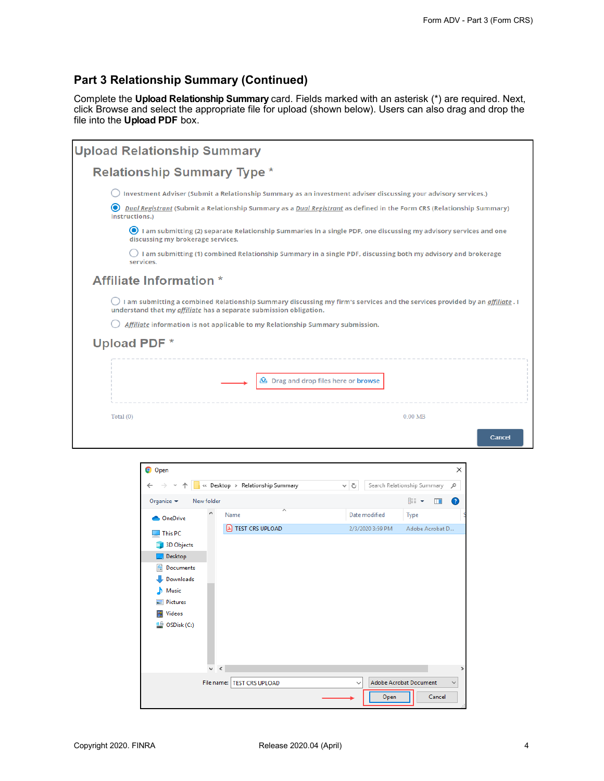## **Part 3 Relationship Summary (Continued)**

Complete the **Upload Relationship Summary** card. Fields marked with an asterisk (\*) are required. Next, click Browse and select the appropriate file for upload (shown below). Users can also drag and drop the file into the **Upload PDF** box.

| <b>Upload Relationship Summary</b>                                                                                                                                                                              |
|-----------------------------------------------------------------------------------------------------------------------------------------------------------------------------------------------------------------|
| <b>Relationship Summary Type *</b>                                                                                                                                                                              |
| Investment Adviser (Submit a Relationship Summary as an investment adviser discussing your advisory services.)                                                                                                  |
| Dual Registrant (Submit a Relationship Summary as a Dual Registrant as defined in the Form CRS (Relationship Summary)<br>instructions.)                                                                         |
| I am submitting (2) separate Relationship Summaries in a single PDF, one discussing my advisory services and one<br>discussing my brokerage services.                                                           |
| I am submitting (1) combined Relationship Summary in a single PDF, discussing both my advisory and brokerage<br>services.                                                                                       |
| <b>Affiliate Information</b> *                                                                                                                                                                                  |
| I am submitting a combined Relationship Summary discussing my firm's services and the services provided by an <i>affiliate</i> . I<br>understand that my <i>gffiligte</i> has a separate submission obligation. |
| Affiliate information is not applicable to my Relationship Summary submission.                                                                                                                                  |
| <b>Upload PDF *</b>                                                                                                                                                                                             |
| <b>A</b> Drag and drop files here or browse                                                                                                                                                                     |
| 0.00 <sub>MB</sub><br>Total $(0)$<br>Cancel                                                                                                                                                                     |

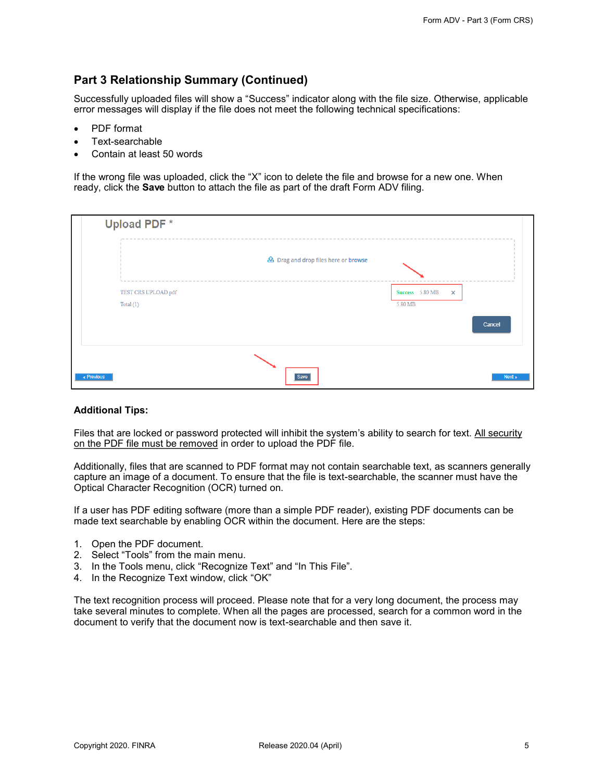## **Part 3 Relationship Summary (Continued)**

Successfully uploaded files will show a "Success" indicator along with the file size. Otherwise, applicable error messages will display if the file does not meet the following technical specifications:

- PDF format
- Text-searchable
- Contain at least 50 words

If the wrong file was uploaded, click the "X" icon to delete the file and browse for a new one. When ready, click the **Save** button to attach the file as part of the draft Form ADV filing.

|                     | <b>鱼</b> Drag and drop files here or browse |                                 |
|---------------------|---------------------------------------------|---------------------------------|
| TEST CRS UPLOAD.pdf |                                             | Success 5.80 MB<br>$\mathbf{x}$ |
| Total (1)           |                                             | 5.80 MB                         |
|                     |                                             | Cancel                          |

#### **Additional Tips:**

Files that are locked or password protected will inhibit the system's ability to search for text. All security on the PDF file must be removed in order to upload the PDF file.

Additionally, files that are scanned to PDF format may not contain searchable text, as scanners generally capture an image of a document. To ensure that the file is text-searchable, the scanner must have the Optical Character Recognition (OCR) turned on.

If a user has PDF editing software (more than a simple PDF reader), existing PDF documents can be made text searchable by enabling OCR within the document. Here are the steps:

- 1. Open the PDF document.
- 2. Select "Tools" from the main menu.
- 3. In the Tools menu, click "Recognize Text" and "In This File".
- 4. In the Recognize Text window, click "OK"

The text recognition process will proceed. Please note that for a very long document, the process may take several minutes to complete. When all the pages are processed, search for a common word in the document to verify that the document now is text-searchable and then save it.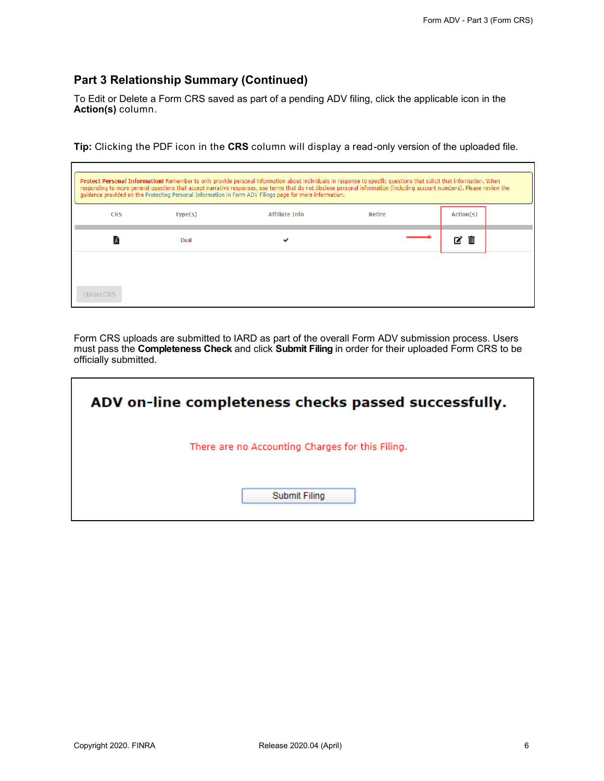#### **Part 3 Relationship Summary (Continued)**

To Edit or Delete a Form CRS saved as part of a pending ADV filing, click the applicable icon in the **Action(s)** column.

**Tip:** Clicking the PDF icon in the **CRS** column will display a read-only version of the uploaded file.

|            | Protect Personal Information! Remember to only provide personal information about individuals in response to specific questions that solicit that information. When<br>responding to more general questions that accept narrative responses, use terms that do not disclose personal information (including account numbers). Please review the<br>quidance provided on the Protecting Personal Information in Form ADV Filings page for more information. |                       |        |           |
|------------|------------------------------------------------------------------------------------------------------------------------------------------------------------------------------------------------------------------------------------------------------------------------------------------------------------------------------------------------------------------------------------------------------------------------------------------------------------|-----------------------|--------|-----------|
| <b>CRS</b> | Type(s)                                                                                                                                                                                                                                                                                                                                                                                                                                                    | <b>Affiliate Info</b> | Retire | Action(s) |
|            | Dual                                                                                                                                                                                                                                                                                                                                                                                                                                                       | $\checkmark$          |        | 而<br>12   |
|            |                                                                                                                                                                                                                                                                                                                                                                                                                                                            |                       |        |           |
| Upload CRS |                                                                                                                                                                                                                                                                                                                                                                                                                                                            |                       |        |           |

Form CRS uploads are submitted to IARD as part of the overall Form ADV submission process. Users must pass the **Completeness Check** and click **Submit Filing** in order for their uploaded Form CRS to be officially submitted.

| ADV on-line completeness checks passed successfully. |
|------------------------------------------------------|
| There are no Accounting Charges for this Filing.     |
| Submit Filing                                        |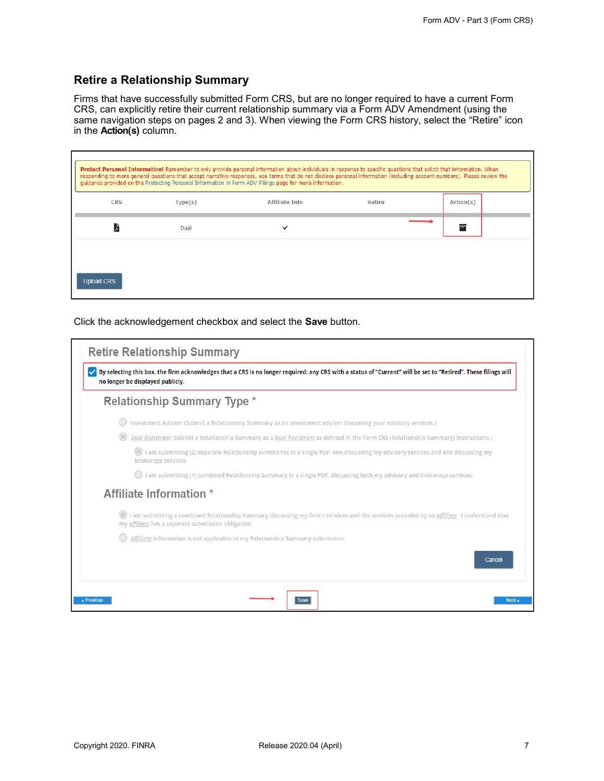#### <span id="page-6-0"></span>**Retire a Relationship Summary**

Firms that have successfully submitted Form CRS, but are no longer required to have a current Form CRS, can explicitly retire their current relationship summary via a Form ADV Amendment (using the same navigation steps on pages 2 and 3). When viewing the Form CRS history, select the "Retire" icon in the **Action(s)** column.

|                   | Protect Personal Information! Remember to only provide personal information about individuals in response to specific questions that solicit that information. When<br>responding to more general questions that accept narrative responses, use terms that do not disclose personal information (including account numbers). Please review the<br>quidance provided on the Protecting Personal Information in Form ADV Filings page for more information. |                       |               |           |
|-------------------|------------------------------------------------------------------------------------------------------------------------------------------------------------------------------------------------------------------------------------------------------------------------------------------------------------------------------------------------------------------------------------------------------------------------------------------------------------|-----------------------|---------------|-----------|
| <b>CRS</b>        | Type(s)                                                                                                                                                                                                                                                                                                                                                                                                                                                    | <b>Affiliate Info</b> | <b>Retire</b> | Action(s) |
|                   | Dual                                                                                                                                                                                                                                                                                                                                                                                                                                                       | $\checkmark$          |               | ᇹ         |
|                   |                                                                                                                                                                                                                                                                                                                                                                                                                                                            |                       |               |           |
| <b>Upload CRS</b> |                                                                                                                                                                                                                                                                                                                                                                                                                                                            |                       |               |           |

Click the acknowledgement checkbox and select the **Save** button.

| By selecting this box, the firm acknowledges that a CRS is no longer required; any CRS with a status of "Current" will be set to "Retired". These filings will<br>no longer be displayed publicly.       |
|----------------------------------------------------------------------------------------------------------------------------------------------------------------------------------------------------------|
| <b>Relationship Summary Type *</b>                                                                                                                                                                       |
| Investment Adviser (Submit a Relationship Summary as an investment adviser discussing your advisory services.)                                                                                           |
| Dual Registrant (Submit a Relationship Summary as a Dual Registrant as defined in the Form CRS (Relationship Summary) instructions.)                                                                     |
| I am submitting (2) separate Relationship Summaries in a single PDF, one discussing my advisory services and one discussing my<br>brokerage services.                                                    |
| I am submitting (1) combined Relationship Summary in a single PDF, discussing both my advisory and brokerage services.                                                                                   |
| <b>Affiliate Information</b> *                                                                                                                                                                           |
| I am submitting a combined Relationship Summary discussing my firm's services and the services provided by an <i>affiliate</i> . I understand that<br>my affiliate has a separate submission obligation. |
| Affiliate information is not applicable to my Relationship Summary submission.                                                                                                                           |
| Cancel                                                                                                                                                                                                   |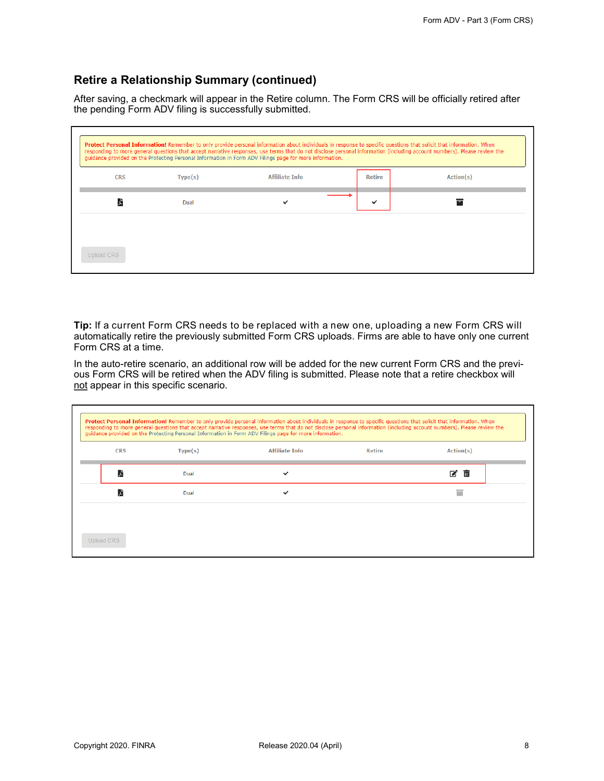#### **Retire a Relationship Summary (continued)**

After saving, a checkmark will appear in the Retire column. The Form CRS will be officially retired after the pending Form ADV filing is successfully submitted.

|                   |         | Protect Personal Information! Remember to only provide personal information about individuals in response to specific questions that solicit that information. When<br>responding to more general questions that accept narrative responses, use terms that do not disclose personal information (including account numbers). Please review the<br>quidance provided on the Protecting Personal Information in Form ADV Filings page for more information. |        |           |
|-------------------|---------|------------------------------------------------------------------------------------------------------------------------------------------------------------------------------------------------------------------------------------------------------------------------------------------------------------------------------------------------------------------------------------------------------------------------------------------------------------|--------|-----------|
| CRS               | Type(s) | <b>Affiliate Info</b>                                                                                                                                                                                                                                                                                                                                                                                                                                      | Retire | Action(s) |
|                   | Dual    |                                                                                                                                                                                                                                                                                                                                                                                                                                                            |        | =         |
| <b>Upload CRS</b> |         |                                                                                                                                                                                                                                                                                                                                                                                                                                                            |        |           |

**Tip:** If a current Form CRS needs to be replaced with a new one, uploading a new Form CRS will automatically retire the previously submitted Form CRS uploads. Firms are able to have only one current Form CRS at a time.

In the auto-retire scenario, an additional row will be added for the new current Form CRS and the previous Form CRS will be retired when the ADV filing is submitted. Please note that a retire checkbox will not appear in this specific scenario.

| <b>CRS</b> | Type(s) | <b>Affiliate Info</b> | <b>Retire</b> | Action(s) |
|------------|---------|-----------------------|---------------|-----------|
|            | Dual    | $\checkmark$          |               | ■■■       |
| 天          | Dual    | $\checkmark$          |               | Ξ         |
|            |         |                       |               |           |